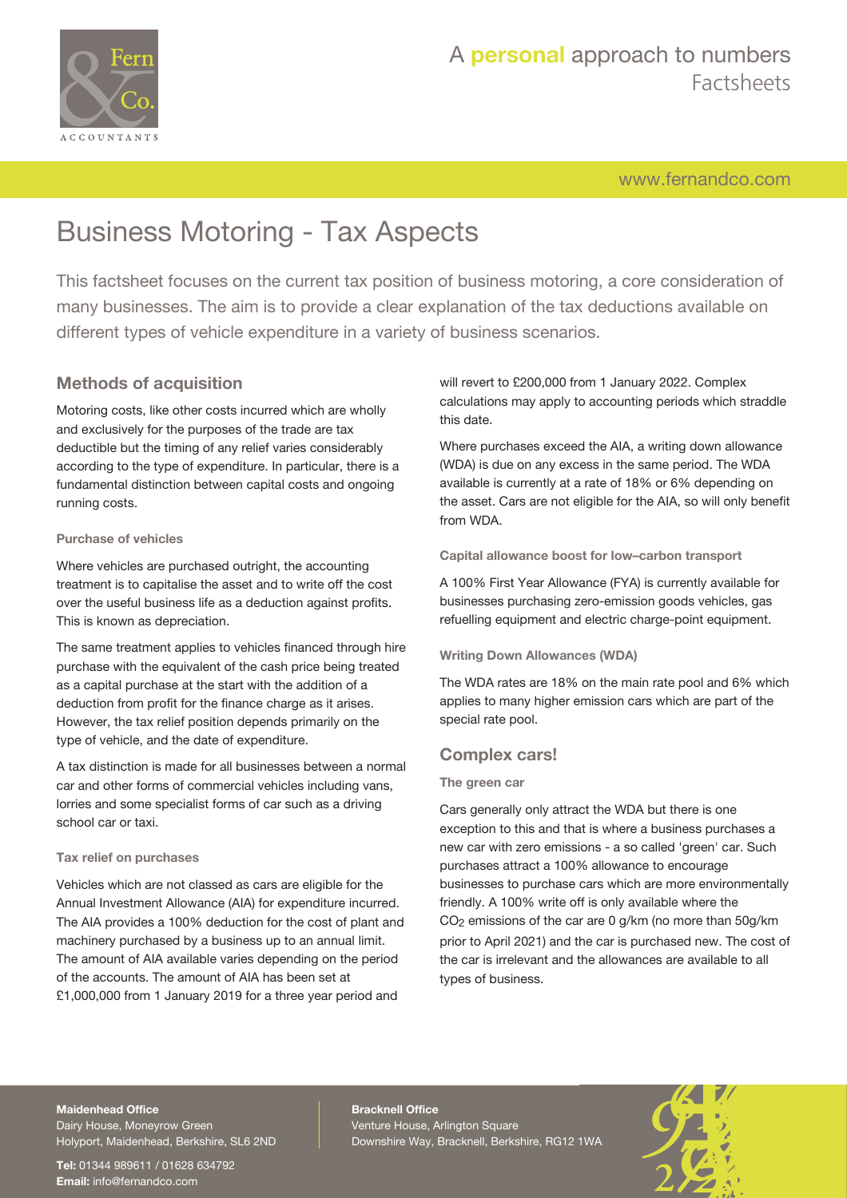

[www.fernandco.com](http://www.fernandco.com)

# Business Motoring - Tax Aspects

This factsheet focuses on the current tax position of business motoring, a core consideration of many businesses. The aim is to provide a clear explanation of the tax deductions available on different types of vehicle expenditure in a variety of business scenarios.

### **Methods of acquisition**

Motoring costs, like other costs incurred which are wholly and exclusively for the purposes of the trade are tax deductible but the timing of any relief varies considerably according to the type of expenditure. In particular, there is a fundamental distinction between capital costs and ongoing running costs.

### **Purchase of vehicles**

Where vehicles are purchased outright, the accounting treatment is to capitalise the asset and to write off the cost over the useful business life as a deduction against profits. This is known as depreciation.

The same treatment applies to vehicles financed through hire purchase with the equivalent of the cash price being treated as a capital purchase at the start with the addition of a deduction from profit for the finance charge as it arises. However, the tax relief position depends primarily on the type of vehicle, and the date of expenditure.

A tax distinction is made for all businesses between a normal car and other forms of commercial vehicles including vans, lorries and some specialist forms of car such as a driving school car or taxi.

### **Tax relief on purchases**

Vehicles which are not classed as cars are eligible for the Annual Investment Allowance (AIA) for expenditure incurred. The AIA provides a 100% deduction for the cost of plant and machinery purchased by a business up to an annual limit. The amount of AIA available varies depending on the period of the accounts. The amount of AIA has been set at £1,000,000 from 1 January 2019 for a three year period and

will revert to £200,000 from 1 January 2022. Complex calculations may apply to accounting periods which straddle this date.

Where purchases exceed the AIA, a writing down allowance (WDA) is due on any excess in the same period. The WDA available is currently at a rate of 18% or 6% depending on the asset. Cars are not eligible for the AIA, so will only benefit from WDA.

**Capital allowance boost for low–carbon transport**

A 100% First Year Allowance (FYA) is currently available for businesses purchasing zero-emission goods vehicles, gas refuelling equipment and electric charge-point equipment.

### **Writing Down Allowances (WDA)**

The WDA rates are 18% on the main rate pool and 6% which applies to many higher emission cars which are part of the special rate pool.

### **Complex cars!**

### **The green car**

Cars generally only attract the WDA but there is one exception to this and that is where a business purchases a new car with zero emissions - a so called 'green' car. Such purchases attract a 100% allowance to encourage businesses to purchase cars which are more environmentally friendly. A 100% write off is only available where the CO2 emissions of the car are 0 g/km (no more than 50g/km prior to April 2021) and the car is purchased new. The cost of the car is irrelevant and the allowances are available to all types of business.

### **Maidenhead Office**

Dairy House, Moneyrow Green Holyport, Maidenhead, Berkshire, SL6 2ND

**Tel:** 01344 989611 / 01628 634792 **Email:** [info@fernandco.com](mailto:info@fernandco.com)

**Bracknell Office** Venture House, Arlington Square Downshire Way, Bracknell, Berkshire, RG12 1WA

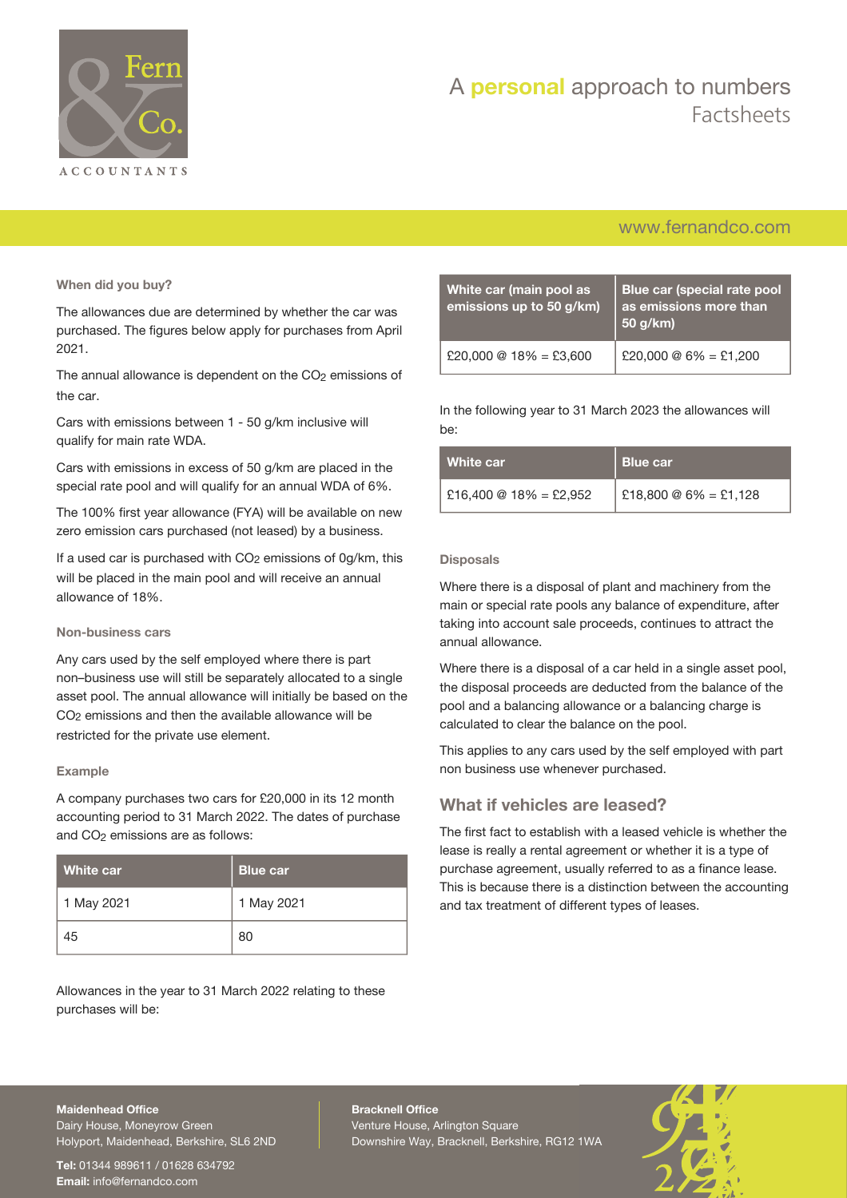

# A **personal** approach to numbers Factsheets

### [www.fernandco.com](http://www.fernandco.com)

**When did you buy?**

The allowances due are determined by whether the car was purchased. The figures below apply for purchases from April 2021.

The annual allowance is dependent on the  $CO<sub>2</sub>$  emissions of the car.

Cars with emissions between 1 - 50 g/km inclusive will qualify for main rate WDA.

Cars with emissions in excess of 50 g/km are placed in the special rate pool and will qualify for an annual WDA of 6%.

The 100% first year allowance (FYA) will be available on new zero emission cars purchased (not leased) by a business.

If a used car is purchased with  $CO<sub>2</sub>$  emissions of  $O<sub>9</sub>/km$ , this will be placed in the main pool and will receive an annual allowance of 18%.

### **Non-business cars**

Any cars used by the self employed where there is part non–business use will still be separately allocated to a single asset pool. The annual allowance will initially be based on the CO2 emissions and then the available allowance will be restricted for the private use element.

### **Example**

A company purchases two cars for £20,000 in its 12 month accounting period to 31 March 2022. The dates of purchase and CO2 emissions are as follows:

| White car  | <b>Blue car</b> |
|------------|-----------------|
| 1 May 2021 | 1 May 2021      |
| 45         | 80              |

Allowances in the year to 31 March 2022 relating to these purchases will be:

| White car (main pool as<br>emissions up to 50 g/km) | Blue car (special rate pool<br>as emissions more than<br>50 g/km) |
|-----------------------------------------------------|-------------------------------------------------------------------|
| £20,000 @ $18\% =$ £3,600                           | £20,000 @ $6\% =$ £1,200                                          |

In the following year to 31 March 2023 the allowances will be:

| White car              | <b>Blue car</b>          |
|------------------------|--------------------------|
| £16,400 @ 18% = £2,952 | £18,800 @ $6\% =$ £1,128 |

### **Disposals**

Where there is a disposal of plant and machinery from the main or special rate pools any balance of expenditure, after taking into account sale proceeds, continues to attract the annual allowance.

Where there is a disposal of a car held in a single asset pool, the disposal proceeds are deducted from the balance of the pool and a balancing allowance or a balancing charge is calculated to clear the balance on the pool.

This applies to any cars used by the self employed with part non business use whenever purchased.

### **What if vehicles are leased?**

The first fact to establish with a leased vehicle is whether the lease is really a rental agreement or whether it is a type of purchase agreement, usually referred to as a finance lease. This is because there is a distinction between the accounting and tax treatment of different types of leases.

### **Maidenhead Office**

Dairy House, Moneyrow Green Holyport, Maidenhead, Berkshire, SL6 2ND

**Tel:** 01344 989611 / 01628 634792 **Email:** [info@fernandco.com](mailto:info@fernandco.com)

**Bracknell Office** Venture House, Arlington Square Downshire Way, Bracknell, Berkshire, RG12 1WA